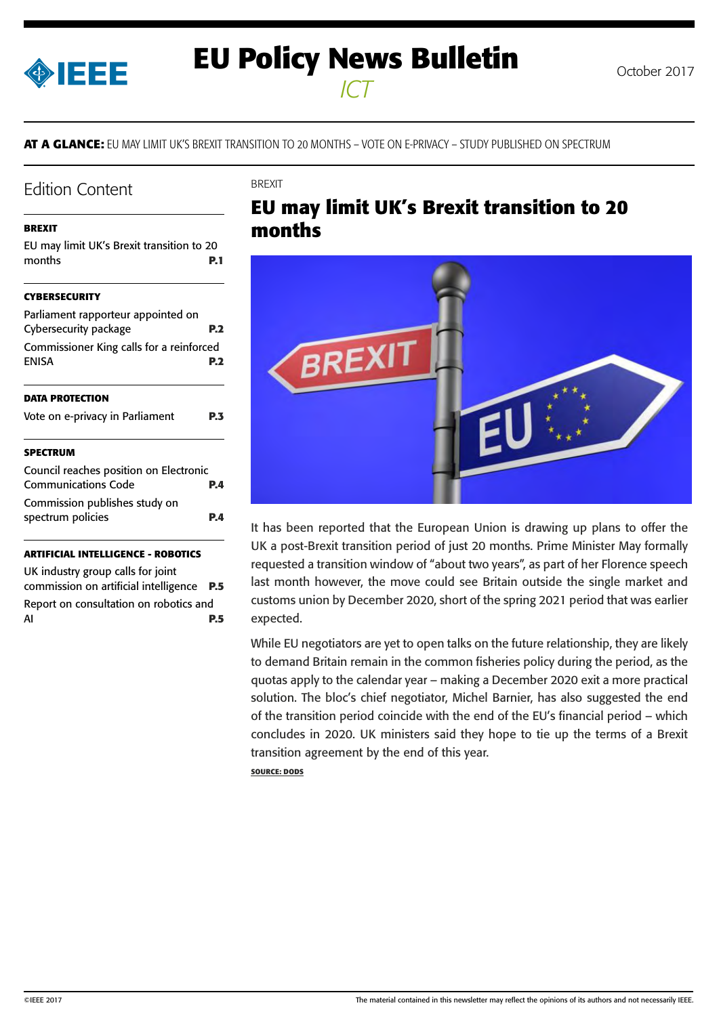<span id="page-0-0"></span>

# **EU Policy News Bulletin** October 2017

*ICT*

**AT A GLANCE:** EU MAY LIMIT UK'S BREXIT TRANSITION TO 20 MONTHS – VOTE ON E-PRIVACY – STUDY PUBLISHED ON SPECTRUM

**BREXIT** 

### Edition Content

#### **BREXIT**

| EU may limit UK's Brexit transition to 20<br>months                  | P. 1 |
|----------------------------------------------------------------------|------|
| <b>CYBERSECURITY</b>                                                 |      |
| Parliament rapporteur appointed on<br>Cybersecurity package          | P.2  |
| Commissioner King calls for a reinforced<br><b>ENISA</b>             | P.2  |
| <b>DATA PROTECTION</b>                                               |      |
| Vote on e-privacy in Parliament                                      | P.3  |
| <b>SPECTRUM</b>                                                      |      |
| Council reaches position on Electronic<br><b>Communications Code</b> | P.4  |
| Commission publishes study on<br>spectrum policies                   | P.4  |
|                                                                      |      |

#### **[ARTIFICIAL INTELLIGENCE - ROBOTICS](#page-4-0)**

[UK industry group calls for joint](#page-4-0)  [commission on artificial intelligence](#page-4-0) **P.5** [Report on consultation on robotics and](#page-4-0)  AI **[P.5](#page-4-0)**

# **EU may limit UK's Brexit transition to 20 months**



It has been reported that the European Union is drawing up plans to offer the UK a post-Brexit transition period of just 20 months. Prime Minister May formally requested a transition window of "about two years", as part of her Florence speech last month however, the move could see Britain outside the single market and customs union by December 2020, short of the spring 2021 period that was earlier expected.

While EU negotiators are yet to open talks on the future relationship, they are likely to demand Britain remain in the common fisheries policy during the period, as the quotas apply to the calendar year – making a December 2020 exit a more practical solution. The bloc's chief negotiator, Michel Barnier, has also suggested the end of the transition period coincide with the end of the EU's financial period – which concludes in 2020. UK ministers said they hope to tie up the terms of a Brexit transition agreement by the end of this year.

**SOURCE: DODS**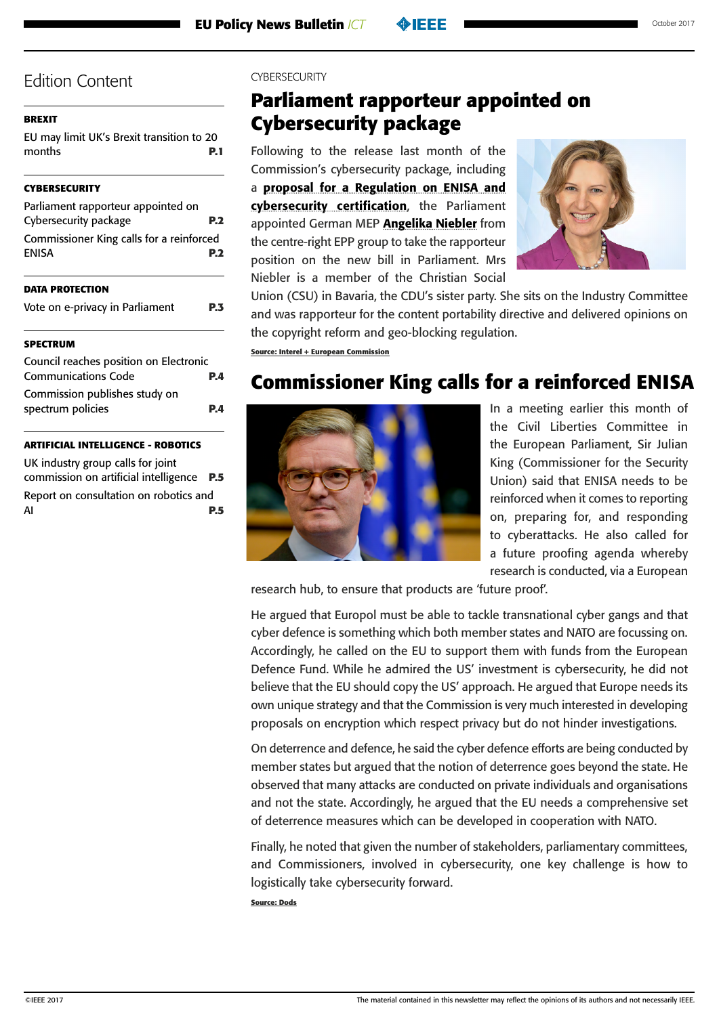### <span id="page-1-0"></span>**[BREXIT](#page-0-0)**

[EU may limit UK's Brexit transition to 20](#page-0-0)  [months](#page-0-0) **P.1**

### **CYBERSECURITY**

| Parliament rapporteur appointed on<br>Cybersecurity package |     |
|-------------------------------------------------------------|-----|
| Commissioner King calls for a reinforced<br><b>ENISA</b>    |     |
| <b>DATA PROTECTION</b>                                      |     |
| Vote on e-privacy in Parliament                             | P.3 |

### **[SPECTRUM](#page-3-0)**

| Council reaches position on Electronic |     |
|----------------------------------------|-----|
| <b>Communications Code</b>             | P.A |
| Commission publishes study on          |     |
| spectrum policies                      | P.A |

### **[ARTIFICIAL INTELLIGENCE - ROBOTICS](#page-4-0)**

[UK industry group calls for joint](#page-4-0)  [commission on artificial intelligence](#page-4-0) **P.5** [Report on consultation on robotics and](#page-4-0)  AI **[P.5](#page-4-0)**

### CYRERSECURITY

### **Parliament rapporteur appointed on Cybersecurity package**

Following to the release last month of the Commission's cybersecurity package, including a [proposal for a Regulation on ENISA and](https://ec.europa.eu/info/law/better-regulation/initiatives/com-2017-477_en)  [cybersecurity certification](https://ec.europa.eu/info/law/better-regulation/initiatives/com-2017-477_en), the Parliament appointed German MEP **[Angelika Niebler](http://www.europarl.europa.eu/meps/nl/4289/ANGELIKA_NIEBLER_assistants.html)** from the centre-right EPP group to take the rapporteur position on the new bill in Parliament. Mrs Niebler is a member of the Christian Social



Union (CSU) in Bavaria, the CDU's sister party. She sits on the Industry Committee and was rapporteur for the content portability directive and delivered opinions on the copyright reform and geo-blocking regulation.

**Source: Interel + European Commission**

# **Commissioner King calls for a reinforced ENISA**



In a meeting earlier this month of the Civil Liberties Committee in the European Parliament, Sir Julian King (Commissioner for the Security Union) said that ENISA needs to be reinforced when it comes to reporting on, preparing for, and responding to cyberattacks. He also called for a future proofing agenda whereby research is conducted, via a European

research hub, to ensure that products are 'future proof'.

He argued that Europol must be able to tackle transnational cyber gangs and that cyber defence is something which both member states and NATO are focussing on. Accordingly, he called on the EU to support them with funds from the European Defence Fund. While he admired the US' investment is cybersecurity, he did not believe that the EU should copy the US' approach. He argued that Europe needs its own unique strategy and that the Commission is very much interested in developing proposals on encryption which respect privacy but do not hinder investigations.

On deterrence and defence, he said the cyber defence efforts are being conducted by member states but argued that the notion of deterrence goes beyond the state. He observed that many attacks are conducted on private individuals and organisations and not the state. Accordingly, he argued that the EU needs a comprehensive set of deterrence measures which can be developed in cooperation with NATO.

Finally, he noted that given the number of stakeholders, parliamentary committees, and Commissioners, involved in cybersecurity, one key challenge is how to logistically take cybersecurity forward.

**Source: Dods**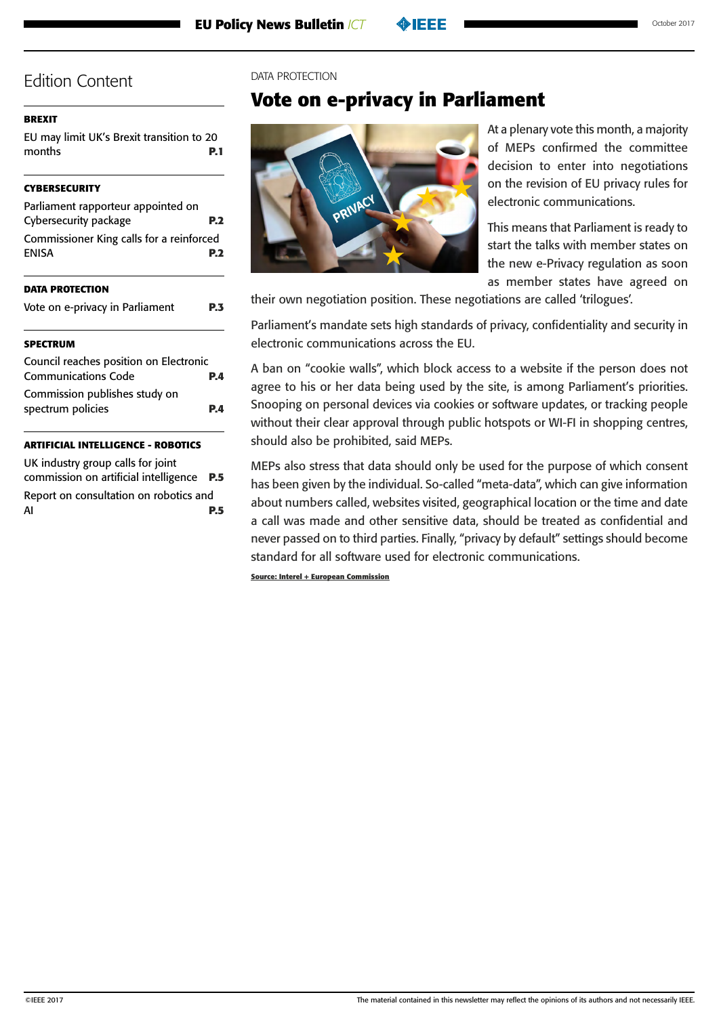#### <span id="page-2-0"></span>**[BREXIT](#page-0-0)**

[EU may limit UK's Brexit transition to 20](#page-0-0)  [months](#page-0-0) **P.1**

#### **[CYBERSECURITY](#page-1-0)**

| <b>SPECTRUM</b>                                          |  |
|----------------------------------------------------------|--|
| Vote on e-privacy in Parliament                          |  |
| <b>DATA PROTECTION</b>                                   |  |
| Commissioner King calls for a reinforced<br><b>ENISA</b> |  |
|                                                          |  |
| Cybersecurity package                                    |  |
| Parliament rapporteur appointed on                       |  |

| Council reaches position on Electronic |            |
|----------------------------------------|------------|
| <b>Communications Code</b>             | <b>P.4</b> |
| Commission publishes study on          |            |
| spectrum policies                      | P.A        |

### **[ARTIFICIAL INTELLIGENCE - ROBOTICS](#page-4-0)**

[UK industry group calls for joint](#page-4-0)  [commission on artificial intelligence](#page-4-0) **P.5** [Report on consultation on robotics and](#page-4-0)  AI **[P.5](#page-4-0)**

#### DATA PROTECTION

### **Vote on e-privacy in Parliament**



At a plenary vote this month, a majority of MEPs confirmed the committee decision to enter into negotiations on the revision of EU privacy rules for electronic communications.

This means that Parliament is ready to start the talks with member states on the new e-Privacy regulation as soon as member states have agreed on

their own negotiation position. These negotiations are called 'trilogues'.

Parliament's mandate sets high standards of privacy, confidentiality and security in electronic communications across the EU.

A ban on "cookie walls", which block access to a website if the person does not agree to his or her data being used by the site, is among Parliament's priorities. Snooping on personal devices via cookies or software updates, or tracking people without their clear approval through public hotspots or WI-FI in shopping centres, should also be prohibited, said MEPs.

MEPs also stress that data should only be used for the purpose of which consent has been given by the individual. So-called "meta-data", which can give information about numbers called, websites visited, geographical location or the time and date a call was made and other sensitive data, should be treated as confidential and never passed on to third parties. Finally, "privacy by default" settings should become standard for all software used for electronic communications.

**Source: Interel + European Commission**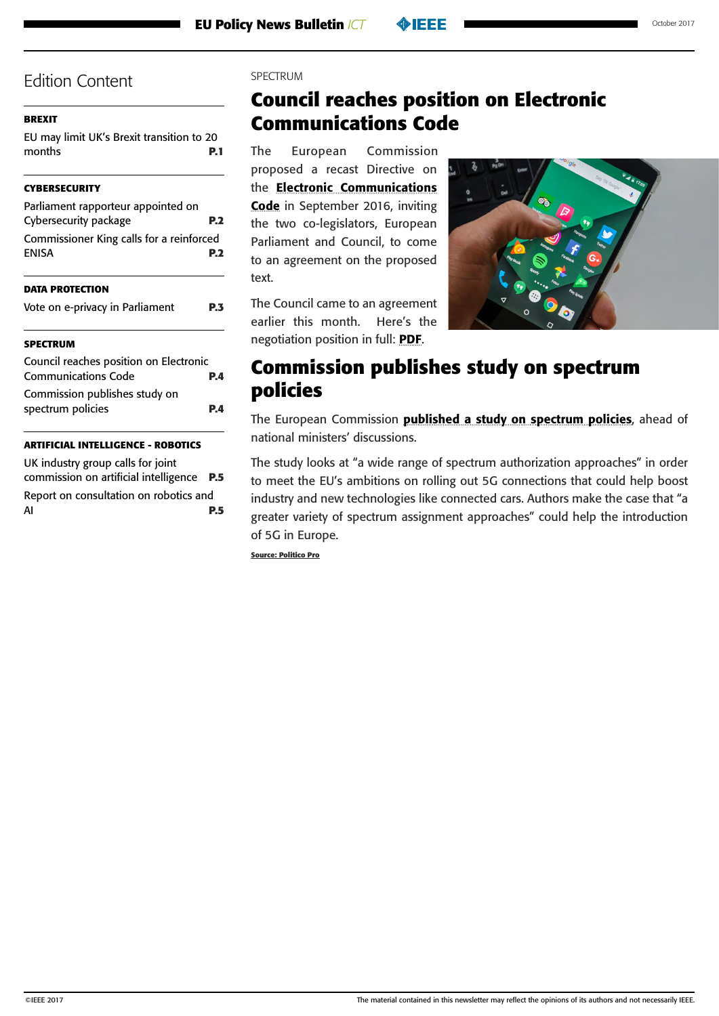### <span id="page-3-0"></span>**[BREXIT](#page-0-0)**

[EU may limit UK's Brexit transition to 20](#page-0-0)  [months](#page-0-0) **P.1**

### **[CYBERSECURITY](#page-1-0)**

| Parliament rapporteur appointed on<br>Cybersecurity package |            |
|-------------------------------------------------------------|------------|
| Commissioner King calls for a reinforced<br><b>ENISA</b>    | <b>P.2</b> |
| <b>DATA PROTECTION</b>                                      |            |
| Vote on e-privacy in Parliament                             | PЗ         |
|                                                             |            |

### **SPECTRUM**

| Council reaches position on Electronic |            |
|----------------------------------------|------------|
| <b>Communications Code</b>             | <b>P.4</b> |
| Commission publishes study on          |            |
| spectrum policies                      | P.A        |
|                                        |            |

### **[ARTIFICIAL INTELLIGENCE - ROBOTICS](#page-4-0)**

[UK industry group calls for joint](#page-4-0)  [commission on artificial intelligence](#page-4-0) **P.5** [Report on consultation on robotics and](#page-4-0)  AI **[P.5](#page-4-0)**

### SPECTRUM

# **Council reaches position on Electronic Communications Code**

The European Commission proposed a recast Directive on the [Electronic Communications](http://eur-lex.europa.eu/resource.html?uri=cellar:c5ee8d55-7a56-11e6-b076-01aa75ed71a1.0001.02/DOC_3&format=PDF)  [Code](http://eur-lex.europa.eu/resource.html?uri=cellar:c5ee8d55-7a56-11e6-b076-01aa75ed71a1.0001.02/DOC_3&format=PDF) in September 2016, inviting the two co-legislators, European Parliament and Council, to come to an agreement on the proposed text.

The Council came to an agreement earlier this month. Here's the negotiation position in full: [PDF](http://www.consilium.europa.eu/en/press/press-releases/2017/10/pdf/171011-Telecom-Cocuncil-mandate_pdf/).



# **Commission publishes study on spectrum policies**

The European Commission [published a study on spectrum policies](https://ec.europa.eu/digital-single-market/en/news/wide-range-spectrum-authorisation-approaches-will-help-achieve-full-benefits-future-5g-use), ahead of national ministers' discussions.

The study looks at "a wide range of spectrum authorization approaches" in order to meet the EU's ambitions on rolling out 5G connections that could help boost industry and new technologies like connected cars. Authors make the case that "a greater variety of spectrum assignment approaches" could help the introduction of 5G in Europe.

**Source: Politico Pro**